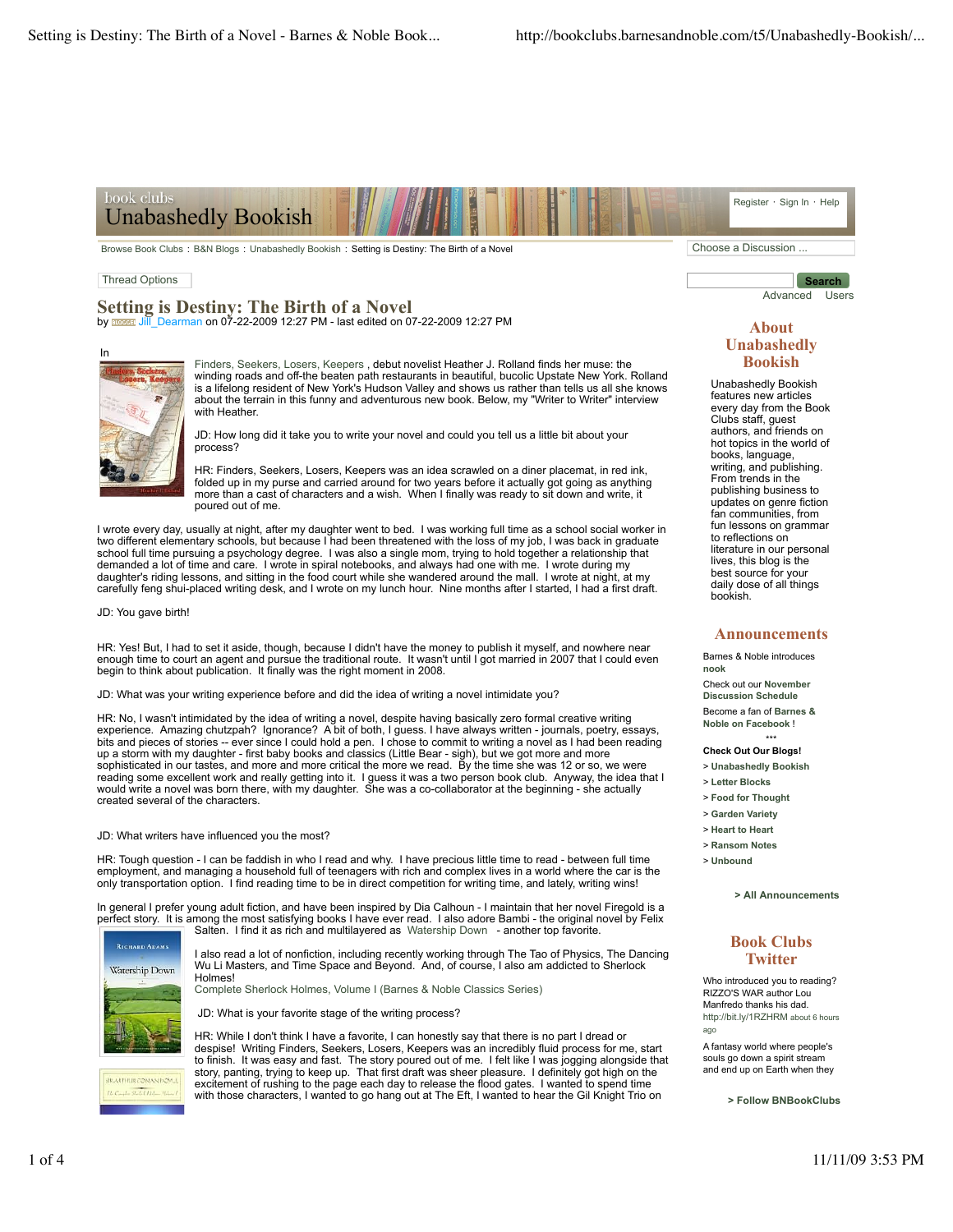#### book clubs Register · Sign In · Help Unabashedly Bookish

Browse Book Clubs : B&N Blogs : Unabashedly Bookish : Setting is Destiny: The Birth of a Novel Choose a Discussion ...

### Thread Options

**Setting is Destiny: The Birth of a Novel** by **Booking COVID-10** COVID-12-2009 12:27 PM - last edited on 07-22-2009 12:27 PM



Finders, Seekers, Losers, Keepers , debut novelist Heather J. Rolland finds her muse: the winding roads and off-the beaten path restaurants in beautiful, bucolic Upstate New York. Rolland is a lifelong resident of New York's Hudson Valley and shows us rather than tells us all she knows about the terrain in this funny and adventurous new book. Below, my "Writer to Writer" interview with Heather

JD: How long did it take you to write your novel and could you tell us a little bit about your process?

HR: Finders, Seekers, Losers, Keepers was an idea scrawled on a diner placemat, in red ink, folded up in my purse and carried around for two years before it actually got going as anything more than a cast of characters and a wish. When I finally was ready to sit down and write, it poured out of me.

I wrote every day, usually at night, after my daughter went to bed. I was working full time as a school social worker in two different elementary schools, but because I had been threatened with the loss of my job, I was back in graduate school full time pursuing a psychology degree. I was also a single mom, trying to hold together a relationship that demanded a lot of time and care. I wrote in spiral notebooks, and always had one with me. I wrote during my daughter's riding lessons, and sitting in the food court while she wandered around the mall. I wrote at night, at my carefully feng shui-placed writing desk, and I wrote on my lunch hour. Nine months after I started, I had a first draft.

JD: You gave birth!

HR: Yes! But, I had to set it aside, though, because I didn't have the money to publish it myself, and nowhere near enough time to court an agent and pursue the traditional route. It wasn't until I got married in 2007 that I could even begin to think about publication. It finally was the right moment in 2008.

JD: What was your writing experience before and did the idea of writing a novel intimidate you?

HR: No, I wasn't intimidated by the idea of writing a novel, despite having basically zero formal creative writing experience. Amazing chutzpah? Ignorance? A bit of both, I guess. I have always written - journals, poetry, essays, bits and pieces of stories -- ever since I could hold a pen. I chose to commit to writing a novel as I had been reading up a storm with my daughter - first baby books and classics (Little Bear - sigh), but we got more and more sophisticated in our tastes, and more and more critical the more we read. By the time she was 12 or so, we were reading some excellent work and really getting into it. I guess it was a two person book club. Anyway, the idea that l<br>would write a novel was born there, with my daughter. She was a co-collaborator at the beginning - she created several of the characters.

#### JD: What writers have influenced you the most?

HR: Tough question - I can be faddish in who I read and why. I have precious little time to read - between full time employment, and managing a household full of teenagers with rich and complex lives in a world where the car is the only transportation option. I find reading time to be in direct competition for writing time, and lately, writing wins!

In general I prefer young adult fiction, and have been inspired by Dia Calhoun - I maintain that her novel Firegold is a perfect story. It is among the most satisfying books I have ever read. I also adore Bambi - the original novel by Felix



RATHER CONAMISON.

Salten. I find it as rich and multilayered as Watership Down - another top favorite.

I also read a lot of nonfiction, including recently working through The Tao of Physics, The Dancing<br>Wu Li Masters, and Time Space and Beyond. And, of course, I also am addicted to Sherlock Holmes!

Complete Sherlock Holmes, Volume I (Barnes & Noble Classics Series)

JD: What is your favorite stage of the writing process?

HR: While I don't think I have a favorite, I can honestly say that there is no part I dread or despise! Writing Finders, Seekers, Losers, Keepers was an incredibly fluid process for me, start to finish. It was easy and fast. The story poured out of me. I felt like I was jogging alongside that story, panting, trying to keep up. That first draft was sheer pleasure. I definitely got high on the excitement of rushing to the page each day to release the flood gates. I wanted to spend time with those characters, I wanted to go hang out at The Eft, I wanted to hear the Gil Knight Trio on

**Search** Advanced Users

### **About Unabashedly Bookish**

Unabashedly Bookish features new articles every day from the Book Clubs staff, guest authors, and friends on hot topics in the world of books, language, writing, and publishing. From trends in the publishing business to updates on genre fiction fan communities, from fun lessons on grammar to reflections on literature in our personal lives, this blog is the best source for your daily dose of all things bookish.

#### **Announcements**

Barnes & Noble introduces **nook** Check out our **November Discussion Schedule** Become a fan of **Barnes & Noble on Facebook** !

\*\*\* **Check Out Our Blogs!**

- > **Unabashedly Bookish**
- > **Letter Blocks**
- > **Food for Thought**
- > **Garden Variety**
- > **Heart to Heart**
- > **Ransom Notes**
- > **Unbound**

**> All Announcements**

## **Book Clubs Twitter**

Who introduced you to reading? RIZZO'S WAR author Lou Manfredo thanks his dad. http://bit.ly/1RZHRM about 6 hours ago

A fantasy world where people's souls go down a spirit stream and end up on Earth when they

**> Follow BNBookClubs**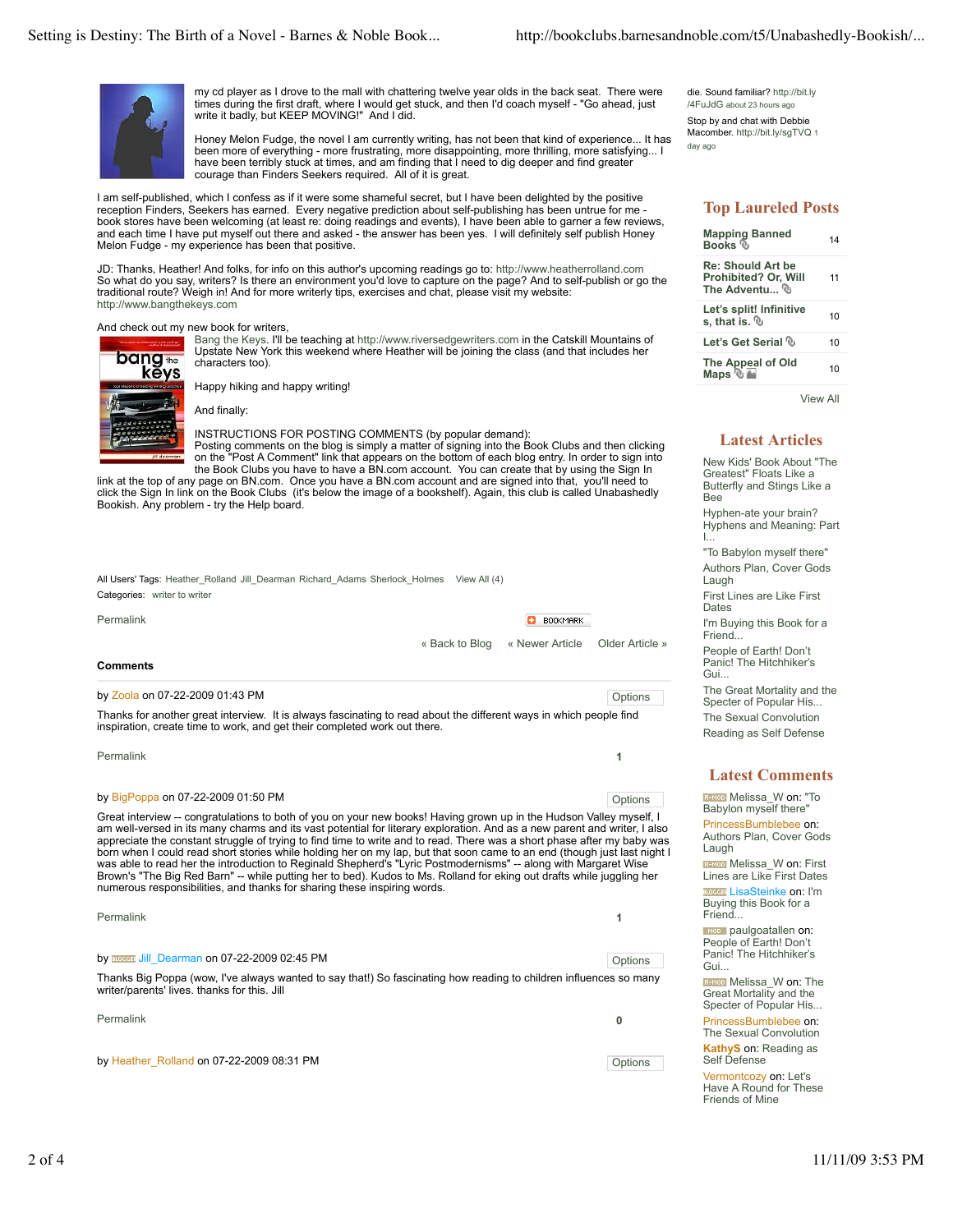

my cd player as I drove to the mall with chattering twelve year olds in the back seat. There were times during the first draft, where I would get stuck, and then I'd coach myself - "Go ahead, just write it badly, but KEEP MOVING!" And I did.

Honey Melon Fudge, the novel I am currently writing, has not been that kind of experience... It has been more of everything - more frustrating, more disappointing, more thrilling, more satisfying... I have been terribly stuck at times, and am finding that I need to dig deeper and find greater courage than Finders Seekers required. All of it is great.

I am self-published, which I confess as if it were some shameful secret, but I have been delighted by the positive reception Finders, Seekers has earned. Every negative prediction about self-publishing has been untrue for me book stores have been welcoming (at least re: doing readings and events), I have been able to garner a few reviews, and each time I have put myself out there and asked - the answer has been yes. I will definitely self publish Honey Melon Fudge - my experience has been that positive.

JD: Thanks, Heather! And folks, for info on this author's upcoming readings go to: http://www.heatherrolland.com So what do you say, writers? Is there an environment you'd love to capture on the page? And to self-publish or go the traditional route? Weigh in! And for more writerly tips, exercises and chat, please visit my website: http://www.bangthekeys.com

#### And check out my new book for writers,



Bang the Keys. I'll be teaching at http://www.riversedgewriters.com in the Catskill Mountains of Upstate New York this weekend where Heather will be joining the class (and that includes her characters too).

Happy hiking and happy writing!

INSTRUCTIONS FOR POSTING COMMENTS (by popular demand): Posting comments on the blog is simply a matter of signing into the Book Clubs and then clicking on the "Post A Comment" link that appears on the bottom of each blog entry. In order to sign into

the Book Clubs you have to have a BN.com account. You can create that by using the Sign In link at the top of any page on BN.com. Once you have a BN.com account and are signed into that, you'll need to click the Sign In link on the Book Clubs (it's below the image of a bookshelf). Again, this club is called Unabashedly Bookish. Any problem - try the Help board.

| All Users' Tags: Heather Rolland Jill Dearman Richard Adams Sherlock Holmes View All (4) |  |  |
|------------------------------------------------------------------------------------------|--|--|
| Categories: writer to writer                                                             |  |  |

Permalink

**BOOKMARK** 

« Back to Blog « Newer Article Older Article »

### **Comments**

#### by Zoola on 07-22-2009 01:43 PM contact the contact of the contact of the contact of the contact of the contact of the contact of the contact of the contact of the contact of the contact of the contact of the contact of th

Thanks for another great interview. It is always fascinating to read about the different ways in which people find inspiration, create time to work, and get their completed work out there.

| Permalink |  |
|-----------|--|
|-----------|--|

#### by BigPoppa on 07-22-2009 01:50 PM contact the contact of the contact of the contact of the contact of the contact of the contact of the contact of the contact of the contact of the contact of the contact of the contact of

Great interview -- congratulations to both of you on your new books! Having grown up in the Hudson Valley myself, I am well-versed in its many charms and its vast potential for literary exploration. And as a new parent and writer, I also appreciate the constant struggle of trying to find time to write and to read. There was a short phase after my baby was born when I could read short stories while holding her on my lap, but that soon came to an end (though just last night I

was able to read her the introduction to Reginald Shepherd's "Lyric Postmodernisms" -- along with Margaret Wise<br>Brown's "The Big Red Barn" -- while putting her to bed). Kudos to Ms. Rolland for eking out drafts while juggl numerous responsibilities, and thanks for sharing these inspiring words.

| Permalink                                                                                                                                                         |         |
|-------------------------------------------------------------------------------------------------------------------------------------------------------------------|---------|
| by <b>EXPREE Jill</b> Dearman on 07-22-2009 02:45 PM                                                                                                              | Options |
| Thanks Big Poppa (wow, I've always wanted to say that!) So fascinating how reading to children influences so many<br>writer/parents' lives, thanks for this, Jill |         |

Permalink **0** by Heather\_Rolland on 07-22-2009 08:31 PM contact the contact of the contact of the contact of the contact of the contact of the contact of the contact of the contact of the contact of the contact of the contact of the con die. Sound familiar? http://bit.ly /4FuJdG about 23 hours ago

Stop by and chat with Debbie Macomber. http://bit.lv/sqTVQ 1 day ago

# **Top Laureled Posts**

| <b>Mapping Banned</b><br>Books <sup></sup>                        | 14 |
|-------------------------------------------------------------------|----|
| <b>Re: Should Art be</b><br>Prohibited? Or, Will<br>The Adventu ® | 11 |
| Let's split! Infinitive<br>s. that is, $%$                        | 10 |
| Let's Get Serial ®                                                | 10 |
| The Appeal of Old<br>Maps ® <del>⊡</del>                          | 10 |

View All

## **Latest Articles**

New Kids' Book About "The Greatest" Floats Like a Butterfly and Stings Like a Bee Hyphen-ate your brain? Hyphens and Meaning: Part I...

"To Babylon myself there" Authors Plan, Cover Gods

Laugh First Lines are Like First

**Dates** 

I'm Buying this Book for a Friend...

People of Earth! Don't Panic! The Hitchhiker's Gui.

The Great Mortality and the Specter of Popular His... The Sexual Convolution

Reading as Self Defense

## **Latest Comments**

**REMOD** Melissa\_W on: "To Babylon myself there' PrincessBumblebee on: Authors Plan, Cover Gods Laugh

R-MOD Melissa\_W on: First Lines are Like First Dates **BLOODER** LisaSteinke on: I'm Buying this Book for a Friend...

**ROD** paulgoatallen on:<br>People of Earth! Don't Panic! The Hitchhiker's Gui...

**REMOD** Melissa W on: The Great Mortality and the Specter of Popular His...

PrincessBumblebee on: The Sexual Convolution

**KathyS** on: Reading as Self Defense

Vermontcozy on: Let's Have A Round for These Friends of Mine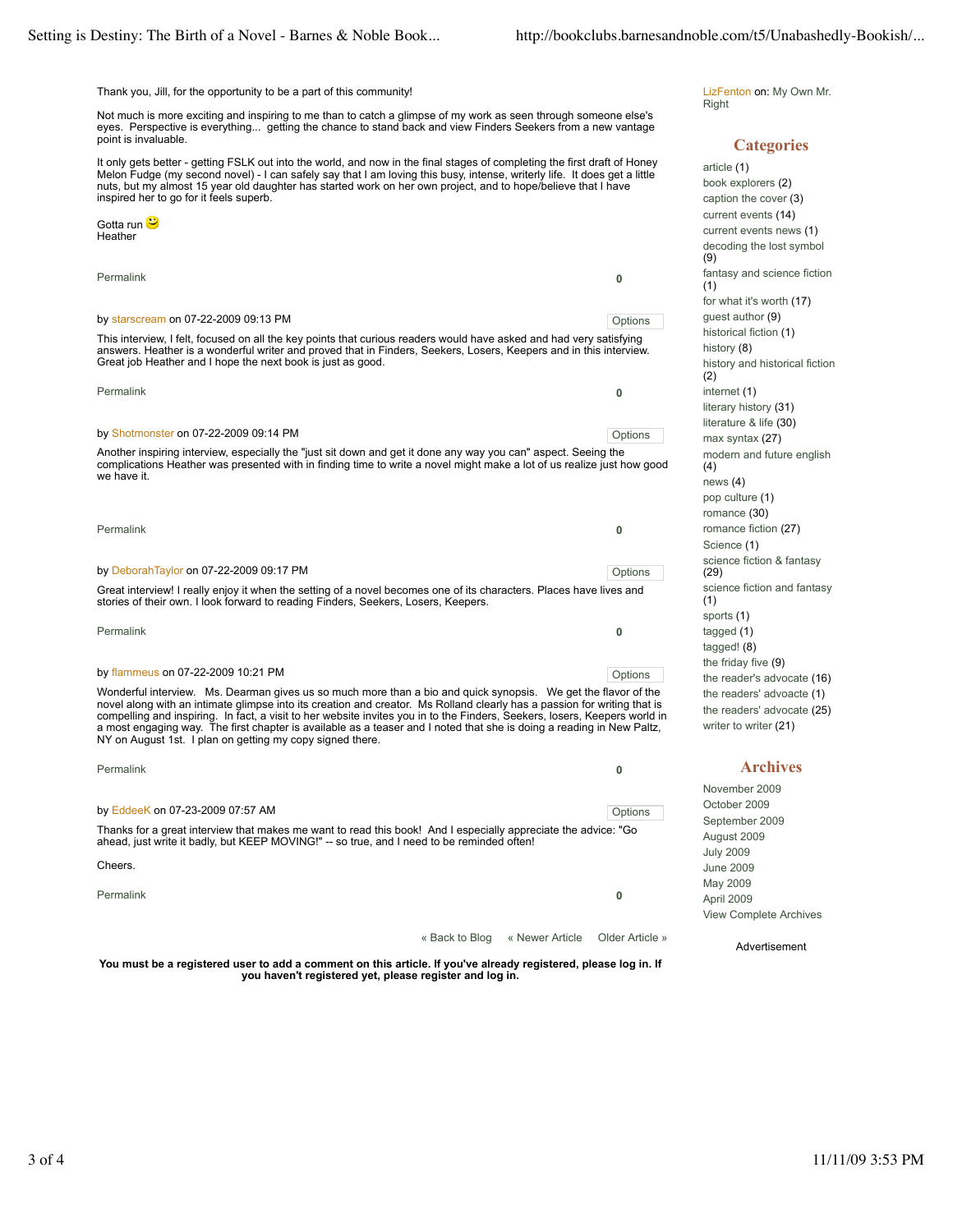Thank you, Jill, for the opportunity to be a part of this community!

Not much is more exciting and inspiring to me than to catch a glimpse of my work as seen through someone else's eyes. Perspective is everything... getting the chance to stand back and view Finders Seekers from a new vantage point is invaluable.

It only gets better - getting FSLK out into the world, and now in the final stages of completing the first draft of Honey Melon Fudge (my second novel) - I can safely say that I am loving this busy, intense, writerly life. It does get a little nuts, but my almost 15 year old daughter has started work on her own project, and to hope/believe that I have inspired her to go for it feels superb.

Permalink **0** by starscream on 07-22-2009 09:13 PM Permalink **0** by Shotmonster on 07-22-2009 09:14 PM **Constant Constant Constant Constant Constant Constant Constant Constant** Permalink **0** by DeborahTaylor on 07-22-2009 09:17 PM Contact the contact of the contact of the contact of the contact of the contact of the contact of the contact of the contact of the contact of the contact of the contact of the conta Permalink **0** by flammeus on 07-22-2009 10:21 PM Gotta run <mark>⊖</mark> Heather This interview, I felt, focused on all the key points that curious readers would have asked and had very satisfying answers. Heather is a wonderful writer and proved that in Finders, Seekers, Losers, Keepers and in this interview. Great job Heather and I hope the next book is just as good. Another inspiring interview, especially the "just sit down and get it done any way you can" aspect. Seeing the complications Heather was presented with in finding time to write a novel might make a lot of us realize just how good we have it. Great interview! I really enjoy it when the setting of a novel becomes one of its characters. Places have lives and stories of their own. I look forward to reading Finders, Seekers, Losers, Keepers. Wonderful interview. Ms. Dearman gives us so much more than a bio and quick synopsis. We get the flavor of the

novel along with an intimate glimpse into its creation and creator. Ms Rolland clearly has a passion for writing that is compelling and inspiring. In fact, a visit to her website invites you in to the Finders, Seekers, losers, Keepers world in<br>a most engaging way. The first chapter is available as a teaser and I noted that she is doing a r NY on August 1st. I plan on getting my copy signed there.

| Permalink                                                                                                                                                                                                    |                |                                 | 0       |  |
|--------------------------------------------------------------------------------------------------------------------------------------------------------------------------------------------------------------|----------------|---------------------------------|---------|--|
| by EddeeK on 07-23-2009 07:57 AM                                                                                                                                                                             |                |                                 | Options |  |
| Thanks for a great interview that makes me want to read this book! And I especially appreciate the advice: "Go<br>ahead, just write it badly, but KEEP MOVING!" -- so true, and I need to be reminded often! |                |                                 |         |  |
| Cheers.                                                                                                                                                                                                      |                |                                 |         |  |
| Permalink                                                                                                                                                                                                    |                |                                 | 0       |  |
|                                                                                                                                                                                                              | « Back to Blog | « Newer Article Older Article » |         |  |

**You must be a registered user to add a comment on this article. If you've already registered, please log in. If you haven't registered yet, please register and log in.**

LizFenton on: My Own Mr. **Right** 

### **Categories**

article (1) book explorers (2) caption the cover (3) current events (14) current events news (1) decoding the lost symbol (9) fantasy and science fiction (1) for what it's worth (17) guest author (9) historical fiction (1) history (8) history and historical fiction (2) internet (1) literary history (31) literature & life (30) max syntax (27) modern and future english (4) news (4) pop culture (1) romance (30) romance fiction (27) Science (1) science fiction & fantasy (29) science fiction and fantasy (1) sports (1) tagged (1) tagged! (8) the friday five (9) the reader's advocate (16) the readers' advoacte (1) the readers' advocate (25) writer to writer (21)

## **Archives**

November 2009 October 2009 September 2009 August 2009 July 2009 June 2009 May 2009 April 2009 View Complete Archives

Advertisement